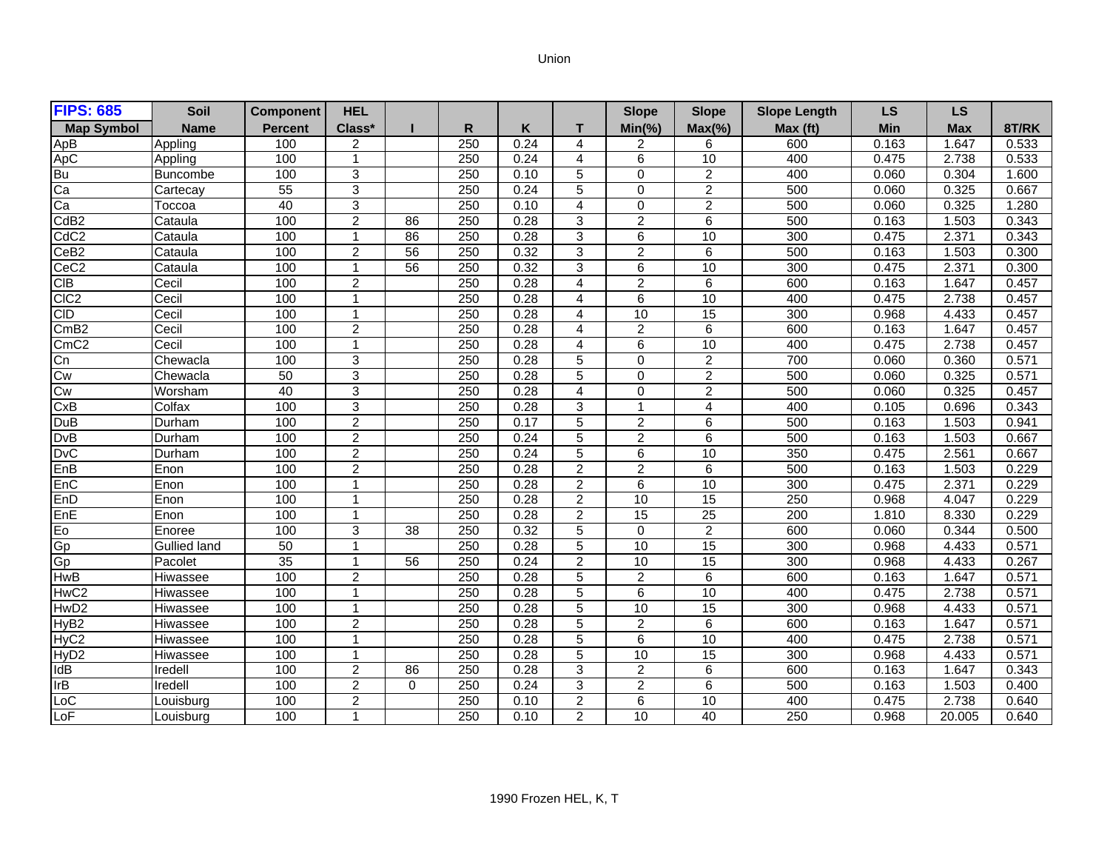## Union

| <b>FIPS: 685</b>  | <b>Soil</b>     | <b>Component</b> | <b>HEL</b>              |                 |                  |      |                | <b>Slope</b>   | <b>Slope</b>    | <b>Slope Length</b> | <b>LS</b> | <b>LS</b> |       |
|-------------------|-----------------|------------------|-------------------------|-----------------|------------------|------|----------------|----------------|-----------------|---------------------|-----------|-----------|-------|
| <b>Map Symbol</b> | <b>Name</b>     | <b>Percent</b>   | Class*                  |                 | R                | K    | т              | $Min(\% )$     | $Max(\% )$      | Max (ft)            | Min       | Max       | 8T/RK |
| ApB               | Appling         | 100              | 2                       |                 | 250              | 0.24 | 4              | 2              | 6               | 600                 | 0.163     | 1.647     | 0.533 |
| ApC               | Appling         | 100              | 1                       |                 | 250              | 0.24 | 4              | 6              | 10              | 400                 | 0.475     | 2.738     | 0.533 |
| Bu                | <b>Buncombe</b> | 100              | 3                       |                 | 250              | 0.10 | 5              | $\mathbf 0$    | $\overline{2}$  | 400                 | 0.060     | 0.304     | 1.600 |
| Ca                | Cartecay        | 55               | $\overline{3}$          |                 | 250              | 0.24 | 5              | $\Omega$       | $\overline{2}$  | 500                 | 0.060     | 0.325     | 0.667 |
| Ca                | Toccoa          | 40               | $\overline{3}$          |                 | 250              | 0.10 | 4              | $\Omega$       | $\overline{2}$  | 500                 | 0.060     | 0.325     | 1.280 |
| CdB <sub>2</sub>  | Cataula         | 100              | $\overline{2}$          | 86              | $\overline{250}$ | 0.28 | 3              | $\overline{c}$ | 6               | 500                 | 0.163     | 1.503     | 0.343 |
| CdC <sub>2</sub>  | Cataula         | 100              | -1                      | 86              | 250              | 0.28 | 3              | 6              | $\overline{10}$ | 300                 | 0.475     | 2.371     | 0.343 |
| Ce <sub>B2</sub>  | Cataula         | 100              | $\overline{2}$          | $\overline{56}$ | $\overline{250}$ | 0.32 | 3              | $\overline{2}$ | 6               | 500                 | 0.163     | 1.503     | 0.300 |
| CeC <sub>2</sub>  | Cataula         | 100              |                         | 56              | 250              | 0.32 | 3              | 6              | 10              | 300                 | 0.475     | 2.371     | 0.300 |
| CIB               | Cecil           | 100              | $\overline{2}$          |                 | 250              | 0.28 | 4              | $\overline{2}$ | $\overline{6}$  | 600                 | 0.163     | 1.647     | 0.457 |
| CIC <sub>2</sub>  | Cecil           | 100              | $\overline{1}$          |                 | 250              | 0.28 | 4              | 6              | 10              | 400                 | 0.475     | 2.738     | 0.457 |
| <b>CID</b>        | Cecil           | 100              | 1                       |                 | 250              | 0.28 | $\overline{4}$ | 10             | 15              | 300                 | 0.968     | 4.433     | 0.457 |
| CmB2              | Cecil           | 100              | $\overline{c}$          |                 | $\overline{250}$ | 0.28 | 4              | $\overline{a}$ | 6               | 600                 | 0.163     | 1.647     | 0.457 |
| CmC2              | Cecil           | 100              | -1                      |                 | 250              | 0.28 | 4              | 6              | 10              | 400                 | 0.475     | 2.738     | 0.457 |
| Cn                | Chewacla        | 100              | $\mathbf{3}$            |                 | 250              | 0.28 | 5              | $\mathbf 0$    | $\overline{2}$  | 700                 | 0.060     | 0.360     | 0.571 |
| Cw                | Chewacla        | 50               | 3                       |                 | 250              | 0.28 | 5              | $\Omega$       | $\overline{2}$  | 500                 | 0.060     | 0.325     | 0.571 |
| Cw                | Worsham         | 40               | $\mathbf{3}$            |                 | 250              | 0.28 | 4              | $\Omega$       | $\overline{2}$  | 500                 | 0.060     | 0.325     | 0.457 |
| CxB               | Colfax          | 100              | 3                       |                 | 250              | 0.28 | 3              | $\overline{ }$ | 4               | 400                 | 0.105     | 0.696     | 0.343 |
| DuB               | Durham          | 100              | $\overline{2}$          |                 | $\overline{250}$ | 0.17 | 5              | $\overline{2}$ | 6               | 500                 | 0.163     | 1.503     | 0.941 |
| <b>DvB</b>        | Durham          | 100              | $\overline{2}$          |                 | 250              | 0.24 | 5              | $\overline{2}$ | 6               | 500                 | 0.163     | 1.503     | 0.667 |
| <b>DvC</b>        | Durham          | 100              | 2                       |                 | 250              | 0.24 | 5              | 6              | 10              | 350                 | 0.475     | 2.561     | 0.667 |
| EnB               | Enon            | 100              | $\overline{c}$          |                 | 250              | 0.28 | $\overline{2}$ | $\overline{a}$ | 6               | 500                 | 0.163     | 1.503     | 0.229 |
| EnC               | Enon            | 100              | $\mathbf{1}$            |                 | 250              | 0.28 | $\overline{2}$ | 6              | 10              | 300                 | 0.475     | 2.371     | 0.229 |
| EnD               | Enon            | 100              | $\overline{1}$          |                 | 250              | 0.28 | $\overline{2}$ | 10             | $\overline{15}$ | 250                 | 0.968     | 4.047     | 0.229 |
| EnE               | <b>IEnon</b>    | 100              | $\overline{1}$          |                 | 250              | 0.28 | $\overline{2}$ | 15             | 25              | 200                 | 1.810     | 8.330     | 0.229 |
| Eo                | Enoree          | 100              | 3                       | 38              | 250              | 0.32 | 5              | $\Omega$       | $\overline{2}$  | 600                 | 0.060     | 0.344     | 0.500 |
| Gp                | Gullied land    | 50               | $\overline{\mathbf{1}}$ |                 | 250              | 0.28 | 5              | 10             | 15              | 300                 | 0.968     | 4.433     | 0.571 |
| <b>Gp</b>         | Pacolet         | 35               | -1                      | 56              | $\overline{250}$ | 0.24 | $\overline{2}$ | 10             | $\overline{15}$ | 300                 | 0.968     | 4.433     | 0.267 |
| <b>HwB</b>        | Hiwassee        | 100              | $\overline{2}$          |                 | 250              | 0.28 | 5              | $\overline{c}$ | 6               | 600                 | 0.163     | 1.647     | 0.571 |
| HwC <sub>2</sub>  | Hiwassee        | 100              | $\overline{1}$          |                 | 250              | 0.28 | 5              | 6              | 10              | 400                 | 0.475     | 2.738     | 0.571 |
| HwD <sub>2</sub>  | Hiwassee        | 100              | $\overline{1}$          |                 | 250              | 0.28 | 5              | 10             | $\overline{15}$ | 300                 | 0.968     | 4.433     | 0.571 |
| HyB <sub>2</sub>  | Hiwassee        | 100              | $\overline{c}$          |                 | 250              | 0.28 | 5              | $\overline{2}$ | 6               | 600                 | 0.163     | 1.647     | 0.571 |
| HyC <sub>2</sub>  | Hiwassee        | 100              | $\overline{1}$          |                 | $\overline{250}$ | 0.28 | 5              | 6              | 10              | 400                 | 0.475     | 2.738     | 0.571 |
| HyD <sub>2</sub>  | Hiwassee        | 100              | -1                      |                 | 250              | 0.28 | 5              | 10             | 15              | 300                 | 0.968     | 4.433     | 0.571 |
| <b>IdB</b>        | Iredell         | 100              | $\overline{2}$          | 86              | 250              | 0.28 | 3              | 2              | 6               | 600                 | 0.163     | 1.647     | 0.343 |
| IrB               | Iredell         | 100              | $\overline{2}$          | $\Omega$        | 250              | 0.24 | 3              | $\overline{c}$ | 6               | 500                 | 0.163     | 1.503     | 0.400 |
| LoC               | Louisburg       | 100              | $\overline{2}$          |                 | 250              | 0.10 | $\overline{2}$ | 6              | 10              | 400                 | 0.475     | 2.738     | 0.640 |
| LoF               | Louisburg       | 100              | $\overline{1}$          |                 | 250              | 0.10 | $\overline{2}$ | 10             | 40              | 250                 | 0.968     | 20.005    | 0.640 |